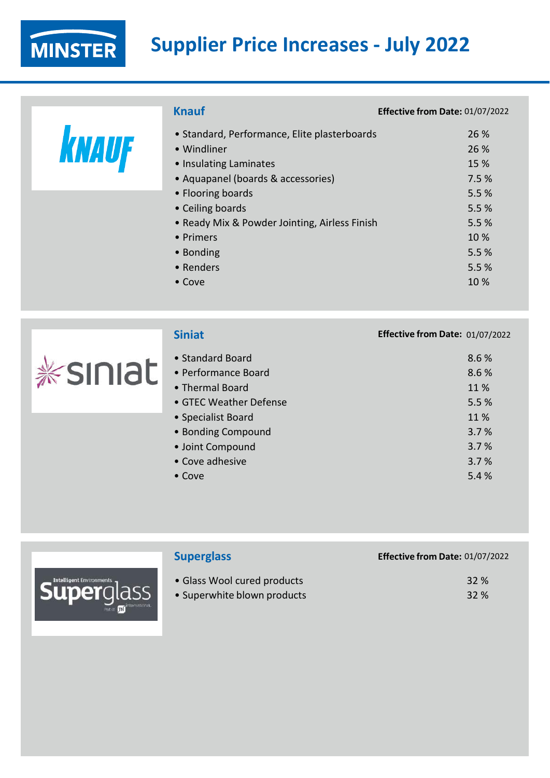

|       | <b>Knauf</b>                                                                                                                                    | Effective from Date: 01/07/2022 |                                                          |
|-------|-------------------------------------------------------------------------------------------------------------------------------------------------|---------------------------------|----------------------------------------------------------|
| KNAUF | • Standard, Performance, Elite plasterboards<br>• Windliner<br>• Insulating Laminates<br>• Aquapanel (boards & accessories)                     |                                 | 26 %<br>26 %<br>15 %<br>7.5%                             |
|       | • Flooring boards<br>• Ceiling boards<br>• Ready Mix & Powder Jointing, Airless Finish<br>• Primers<br>• Bonding<br>• Renders<br>$\bullet$ Cove |                                 | 5.5 %<br>5.5 %<br>5.5 %<br>10 %<br>5.5%<br>5.5 %<br>10 % |

| <b>Siniat</b>          | Effective from Date: 01/07/2022 |
|------------------------|---------------------------------|
| • Standard Board       | 8.6%                            |
| • Performance Board    | 8.6%                            |
| • Thermal Board        | 11 %                            |
| • GTEC Weather Defense | 5.5 %                           |
| • Specialist Board     | 11 %                            |
| • Bonding Compound     | 3.7%                            |
| • Joint Compound       | 3.7%                            |
| • Cove adhesive        | 3.7%                            |
| $\bullet$ Cove         | 5.4%                            |
|                        |                                 |

|                          | <b>Superglass</b>           | Effective from Date: 01/07/2022 |
|--------------------------|-----------------------------|---------------------------------|
| Intelligent Environments | • Glass Wool cured products | 32 %                            |
| <b>Inor</b>              | • Superwhite blown products | 32 %                            |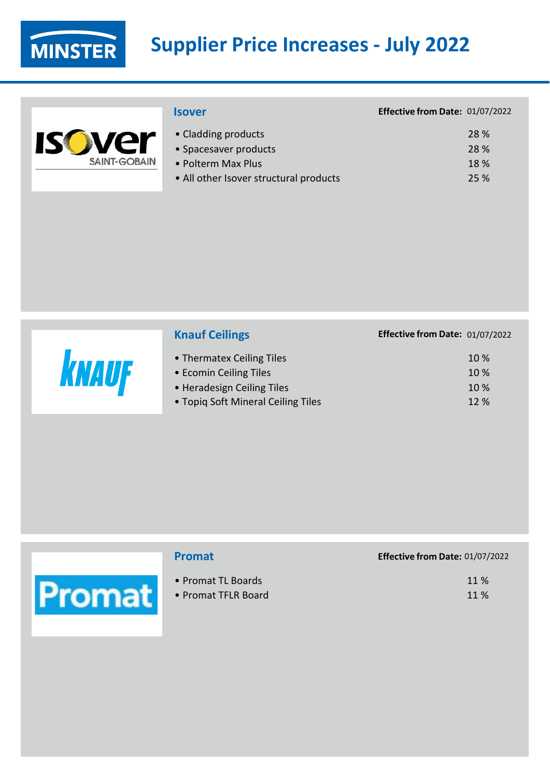

|                     | <b>Isover</b>                          | Effective from Date: 01/07/2022 |      |
|---------------------|----------------------------------------|---------------------------------|------|
| $\mathbf{r}$        | • Cladding products                    |                                 | 28 % |
| <b>Report</b>       | • Spacesaver products                  |                                 | 28 % |
| $\blacksquare$      | · Polterm Max Plus                     |                                 | 18 % |
| <b>SAINT-GOBAIN</b> | • All other Isover structural products |                                 | 25 % |



### **Knauf Ceilings Effective from Date:** 01/07/2022

| • Thermatex Ceiling Tiles          | 10%  |
|------------------------------------|------|
| • Ecomin Ceiling Tiles             | 10%  |
| • Heradesign Ceiling Tiles         | 10%  |
| • Topig Soft Mineral Ceiling Tiles | 12 % |
|                                    |      |

|        | <b>Promat</b>                             | Effective from Date: 01/07/2022 |
|--------|-------------------------------------------|---------------------------------|
| Promat | • Promat TL Boards<br>• Promat TFLR Board | 11 %<br>11 %                    |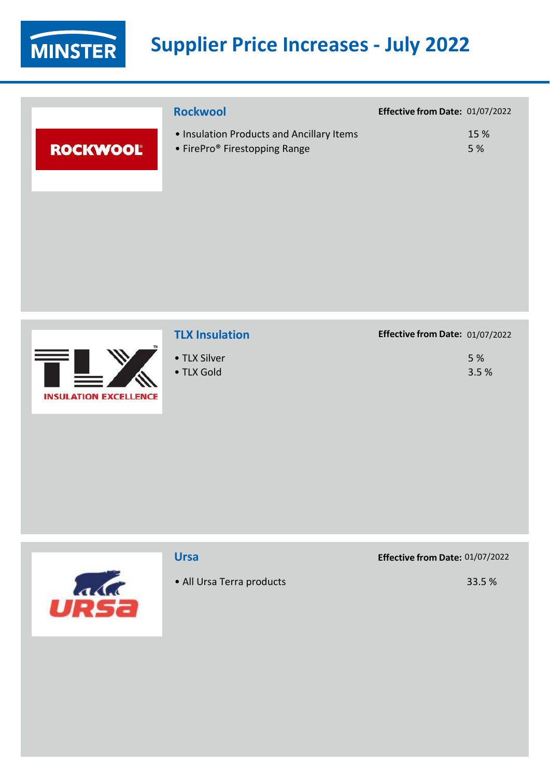

|                 | <b>Rockwool</b>                                                                        | Effective from Date: 01/07/2022 |
|-----------------|----------------------------------------------------------------------------------------|---------------------------------|
| <b>ROCKWOOL</b> | . Insulation Products and Ancillary Items<br>• FirePro <sup>®</sup> Firestopping Range | 15 %<br>5 %                     |



#### **TLX Insulation Effective from Date:** 01/07/2022

| .            | - - - - - |
|--------------|-----------|
| • TLX Silver | 5 %       |
| • TLX Gold   | 3.5%      |
|              |           |



#### **Ursa**

• All Ursa Terra products

**Effective from Date:** 01/07/2022

33.5 %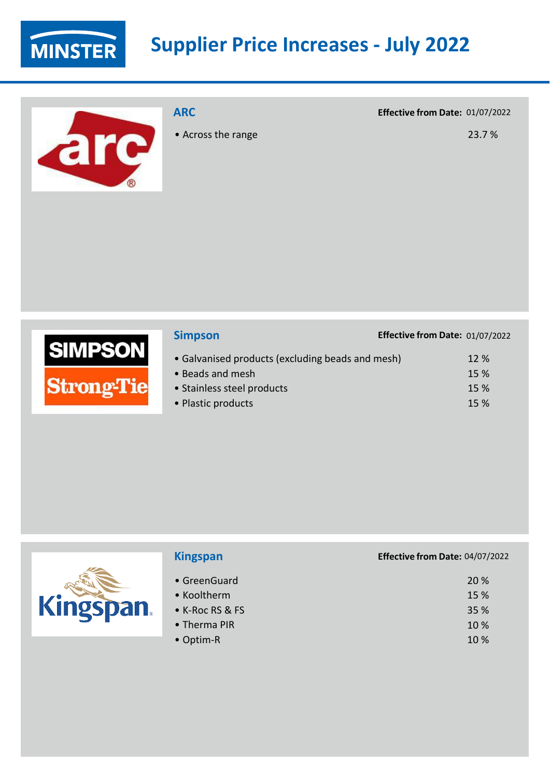

are

**ARC**

• Across the range

**Effective from Date:** 01/07/2022

23.7 %

|  | <b>IMPSON</b> |  |
|--|---------------|--|
|  |               |  |

| <b>Simpson</b>                                   | Effective from Date: 01/07/2022 |     |
|--------------------------------------------------|---------------------------------|-----|
| • Galvanised products (excluding beads and mesh) |                                 | 12% |
| • Beads and mesh                                 |                                 | 15% |
| • Stainless steel products                       |                                 | 15% |
| • Plastic products                               |                                 | 15% |

| Kingspan. |
|-----------|
|           |
|           |

#### **Kingspan**

- GreenGuard
- Kooltherm • K-Roc RS & FS
- Therma PIR
- Optim-R

| Effective from Date: 04/07/2022 |      |
|---------------------------------|------|
|                                 | 20 % |

|      | <i>,</i> |
|------|----------|
| 15 % |          |
| 35 % |          |
| 10 % |          |
| 10 % |          |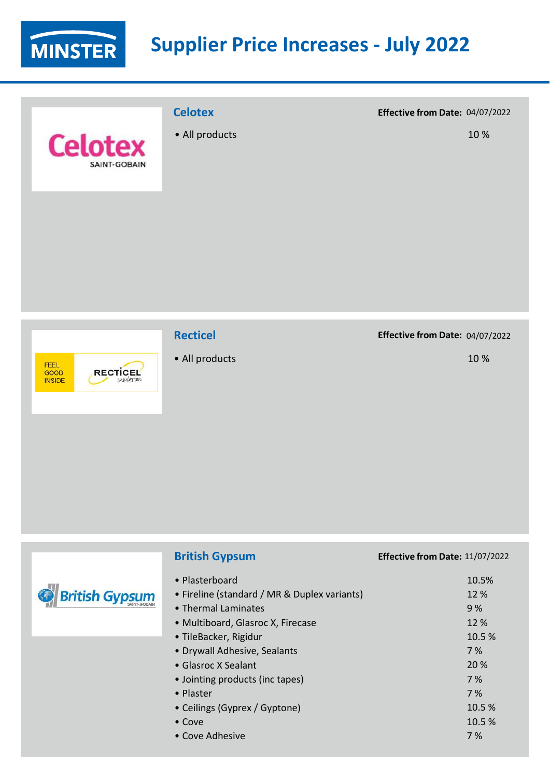

**Celotex** SAINT-GOBAIN

### **Celotex**

• All products

**Effective from Date:** 04/07/2022

10 %



#### **Recticel**

**British Gypsum**

• All products

#### **Effective from Date:** 04/07/2022

10 %

|                       | <b>British Gypsum</b>                        | <b>Effective from Date: 11/07/2022</b> |
|-----------------------|----------------------------------------------|----------------------------------------|
|                       | • Plasterboard                               | 10.5%                                  |
| <b>British Gypsum</b> | • Fireline (standard / MR & Duplex variants) | 12 %                                   |
|                       | • Thermal Laminates                          | 9%                                     |
|                       | • Multiboard, Glasroc X, Firecase            | 12 %                                   |
|                       | · TileBacker, Rigidur                        | 10.5%                                  |
|                       | • Drywall Adhesive, Sealants                 | 7 %                                    |
|                       | • Glasroc X Sealant                          | 20 %                                   |
|                       | • Jointing products (inc tapes)              | 7 %                                    |
|                       | • Plaster                                    | 7 %                                    |
|                       | • Ceilings (Gyprex / Gyptone)                | 10.5%                                  |
|                       | $\bullet$ Cove                               | 10.5%                                  |
|                       | • Cove Adhesive                              | 7 %                                    |